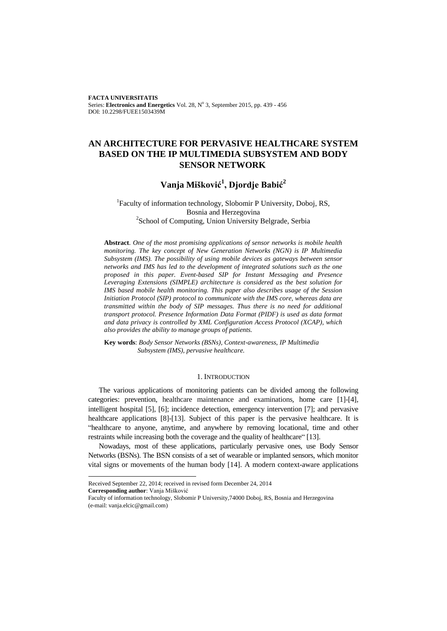**FACTA UNIVERSITATIS** Series: Electronics and Energetics Vol. 28, Nº 3, September 2015, pp. 439 - 456 DOI: 10.2298/FUEE1503439M

# **AN ARCHITECTURE FOR PERVASIVE HEALTHCARE SYSTEM BASED ON THE IP MULTIMEDIA SUBSYSTEM AND BODY SENSOR NETWORK**

# **Vanja Mišković<sup>1</sup> , Djordje Babić<sup>2</sup>**

# <sup>1</sup>Faculty of information technology, Slobomir P University, Doboj, RS, Bosnia and Herzegovina <sup>2</sup>School of Computing, Union University Belgrade, Serbia

**Abstract**. *One of the most promising applications of sensor networks is mobile health monitoring. The key concept of New Generation Networks (NGN) is IP Multimedia Subsystem (IMS). The possibility of using mobile devices as gateways between sensor networks and IMS has led to the development of integrated solutions such as the one proposed in this paper. Event-based SIP for Instant Messaging and Presence Leveraging Extensions (SIMPLE) architecture is considered as the best solution for IMS based mobile health monitoring. This paper also describes usage of the Session Initiation Protocol (SIP) protocol to communicate with the IMS core, whereas data are transmitted within the body of SIP messages. Thus there is no need for additional transport protocol. Presence Information Data Format (PIDF) is used as data format and data privacy is controlled by XML Configuration Access Protocol (XCAP), which also provides the ability to manage groups of patients.*

**Key words**: *Body Sensor Networks (BSNs), Context-awareness, IP Multimedia Subsystem (IMS), pervasive healthcare.*

# 1. INTRODUCTION

The various applications of monitoring patients can be divided among the following categories: prevention, healthcare maintenance and examinations, home care [\[1\]](#page-16-0)[-\[4\],](#page-16-1)  intelligent hospital [\[5\],](#page-16-2) [\[6\];](#page-16-3) incidence detection, emergency intervention [\[7\];](#page-16-4) and pervasive healthcare applications [\[8\]](#page-16-5)[-\[13\].](#page-17-0) Subject of this paper is the pervasive healthcare. It is "healthcare to anyone, anytime, and anywhere by removing locational, time and other restraints while increasing both the coverage and the quality of healthcare[" \[13\].](#page-17-0)

Nowadays, most of these applications, particularly pervasive ones, use Body Sensor Networks (BSNs). The BSN consists of a set of wearable or implanted sensors, which monitor vital signs or movements of the human body [\[14\].](#page-17-1) A modern context-aware applications

l

Received September 22, 2014; received in revised form December 24, 2014

**Corresponding author**: Vanja Mišković

Faculty of information technology, Slobomir P University,74000 Doboj, RS, Bosnia and Herzegovina (e-mail: vanja.elcic@gmail.com)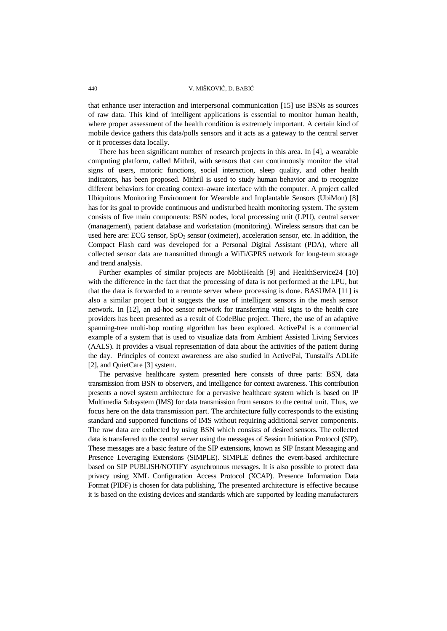that enhance user interaction and interpersonal communication [\[15\]](#page-17-2) use BSNs as sources of raw data. This kind of intelligent applications is essential to monitor human health, where proper assessment of the health condition is extremely important. A certain kind of mobile device gathers this data/polls sensors and it acts as a gateway to the central server or it processes data locally.

There has been significant number of research projects in this area. In [\[4\],](#page-16-1) a wearable computing platform, called Mithril, with sensors that can continuously monitor the vital signs of users, motoric functions, social interaction, sleep quality, and other health indicators, has been proposed. Mithril is used to study human behavior and to recognize different behaviors for creating context–aware interface with the computer. A project called Ubiquitous Monitoring Environment for Wearable and Implantable Sensors (UbiMon) [\[8\]](#page-16-5) has for its goal to provide continuous and undisturbed health monitoring system. The system consists of five main components: BSN nodes, local processing unit (LPU), central server (management), patient database and workstation (monitoring). Wireless sensors that can be used here are: ECG sensor,  $SpO<sub>2</sub>$  sensor (oximeter), acceleration sensor, etc. In addition, the Compact Flash card was developed for a Personal Digital Assistant (PDA), where all collected sensor data are transmitted through a WiFi/GPRS network for long-term storage and trend analysis.

Further examples of similar projects are MobiHealth [\[9\]](#page-16-6) and HealthService24 [\[10\]](#page-16-7) with the difference in the fact that the processing of data is not performed at the LPU, but that the data is forwarded to a remote server where processing is done. BASUMA [\[11\]](#page-16-8) is also a similar project but it suggests the use of intelligent sensors in the mesh sensor network. In [\[12\],](#page-16-9) an ad-hoc sensor network for transferring vital signs to the health care providers has been presented as a result of CodeBlue project. There, the use of an adaptive spanning-tree multi-hop routing algorithm has been explored. ActivePal is a commercial example of a system that is used to visualize data from Ambient Assisted Living Services (AALS). It provides a visual representation of data about the activities of the patient during the day. Principles of context awareness are also studied in ActivePal, Tunstall's ADLife [\[2\],](#page-16-10) and QuietCar[e \[3\]](#page-16-11) system.

The pervasive healthcare system presented here consists of three parts: BSN, data transmission from BSN to observers, and intelligence for context awareness. This contribution presents a novel system architecture for a pervasive healthcare system which is based on IP Multimedia Subsystem (IMS) for data transmission from sensors to the central unit. Thus, we focus here on the data transmission part. The architecture fully corresponds to the existing standard and supported functions of IMS without requiring additional server components. The raw data are collected by using BSN which consists of desired sensors. The collected data is transferred to the central server using the messages of Session Initiation Protocol (SIP). These messages are a basic feature of the SIP extensions, known as SIP Instant Messaging and Presence Leveraging Extensions (SIMPLE). SIMPLE defines the event-based architecture based on SIP PUBLISH/NOTIFY asynchronous messages. It is also possible to protect data privacy using XML Configuration Access Protocol (XCAP). Presence Information Data Format (PIDF) is chosen for data publishing. The presented architecture is effective because it is based on the existing devices and standards which are supported by leading manufacturers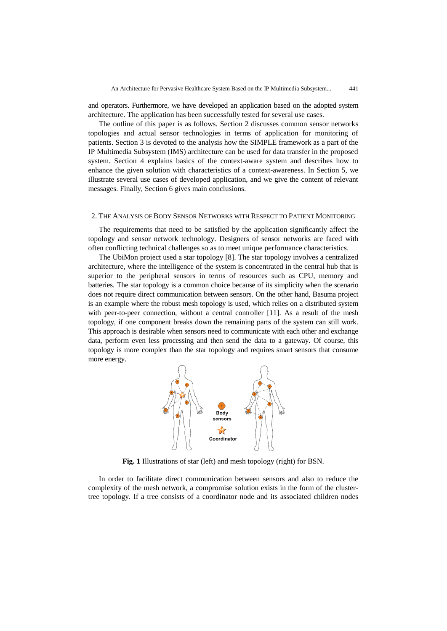and operators. Furthermore, we have developed an application based on the adopted system architecture. The application has been successfully tested for several use cases.

The outline of this paper is as follows. Section 2 discusses common sensor networks topologies and actual sensor technologies in terms of application for monitoring of patients. Section 3 is devoted to the analysis how the SIMPLE framework as a part of the IP Multimedia Subsystem (IMS) architecture can be used for data transfer in the proposed system. Section 4 explains basics of the context-aware system and describes how to enhance the given solution with characteristics of a context-awareness. In Section 5, we illustrate several use cases of developed application, and we give the content of relevant messages. Finally, Section 6 gives main conclusions.

### 2. THE ANALYSIS OF BODY SENSOR NETWORKS WITH RESPECT TO PATIENT MONITORING

The requirements that need to be satisfied by the application significantly affect the topology and sensor network technology. Designers of sensor networks are faced with often conflicting technical challenges so as to meet unique performance characteristics.

The UbiMon project used a star topology [\[8\].](#page-16-5) The star topology involves a centralized architecture, where the intelligence of the system is concentrated in the central hub that is superior to the peripheral sensors in terms of resources such as CPU, memory and batteries. The star topology is a common choice because of its simplicity when the scenario does not require direct communication between sensors. On the other hand, Basuma project is an example where the robust mesh topology is used, which relies on a distributed system with peer-to-peer connection, without a central controller [\[11\].](#page-16-8) As a result of the mesh topology, if one component breaks down the remaining parts of the system can still work. This approach is desirable when sensors need to communicate with each other and exchange data, perform even less processing and then send the data to a gateway. Of course, this topology is more complex than the star topology and requires smart sensors that consume more energy.



**Fig. 1** Illustrations of star (left) and mesh topology (right) for BSN.

In order to facilitate direct communication between sensors and also to reduce the complexity of the mesh network, a compromise solution exists in the form of the clustertree topology. If a tree consists of a coordinator node and its associated children nodes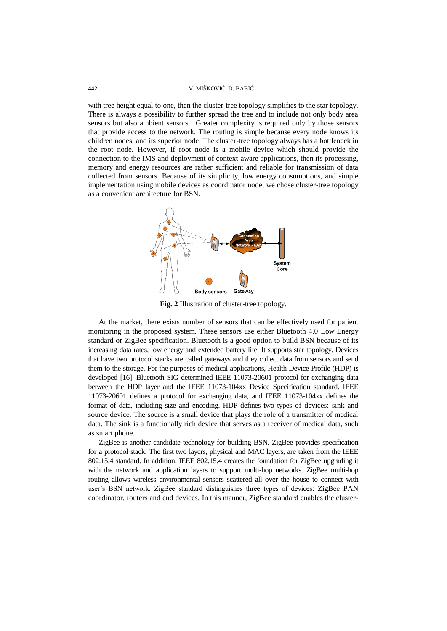with tree height equal to one, then the cluster-tree topology simplifies to the star topology. There is always a possibility to further spread the tree and to include not only body area sensors but also ambient sensors. Greater complexity is required only by those sensors that provide access to the network. The routing is simple because every node knows its children nodes, and its superior node. The cluster-tree topology always has a bottleneck in the root node. However, if root node is a mobile device which should provide the connection to the IMS and deployment of context-aware applications, then its processing, memory and energy resources are rather sufficient and reliable for transmission of data collected from sensors. Because of its simplicity, low energy consumptions, and simple implementation using mobile devices as coordinator node, we chose cluster-tree topology as a convenient architecture for BSN.



**Fig. 2** Illustration of cluster-tree topology.

At the market, there exists number of sensors that can be effectively used for patient monitoring in the proposed system. These sensors use either Bluetooth 4.0 Low Energy standard or ZigBee specification. Bluetooth is a good option to build BSN because of its increasing data rates, low energy and extended battery life. It supports star topology. Devices that have two protocol stacks are called gateways and they collect data from sensors and send them to the storage. For the purposes of medical applications, Health Device Profile (HDP) is developed [\[16\].](#page-17-3) Bluetooth SIG determined IEEE 11073-20601 protocol for exchanging data between the HDP layer and the IEEE 11073-104xx Device Specification standard. IEEE 11073-20601 defines a protocol for exchanging data, and IEEE 11073-104xx defines the format of data, including size and encoding. HDP defines two types of devices: sink and source device. The source is a small device that plays the role of a transmitter of medical data. The sink is a functionally rich device that serves as a receiver of medical data, such as smart phone.

ZigBee is another candidate technology for building BSN. ZigBee provides specification for a protocol stack. The first two layers, physical and MAC layers, are taken from the IEEE 802.15.4 standard. In addition, IEEE 802.15.4 creates the foundation for ZigBee upgrading it with the network and application layers to support multi-hop networks. ZigBee multi-hop routing allows wireless environmental sensors scattered all over the house to connect with user"s BSN network. ZigBee standard distinguishes three types of devices: ZigBee PAN coordinator, routers and end devices. In this manner, ZigBee standard enables the cluster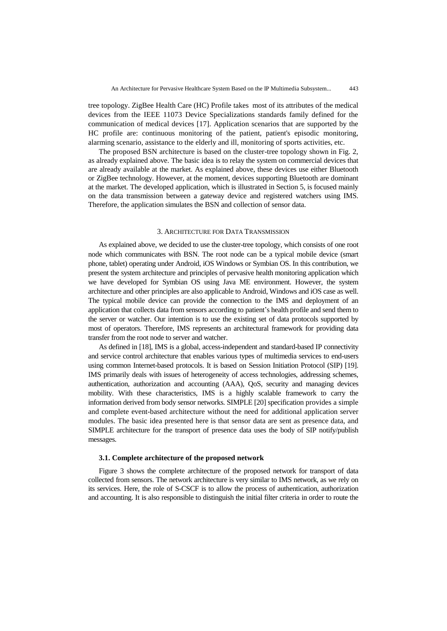tree topology. ZigBee Health Care (HC) Profile takes most of its attributes of the medical devices from the IEEE 11073 Device Specializations standards family defined for the communication of medical devices [\[17\].](#page-17-4) Application scenarios that are supported by the HC profile are: continuous monitoring of the patient, patient's episodic monitoring, alarming scenario, assistance to the elderly and ill, monitoring of sports activities, etc.

The proposed BSN architecture is based on the cluster-tree topology shown in Fig. 2, as already explained above. The basic idea is to relay the system on commercial devices that are already available at the market. As explained above, these devices use either Bluetooth or ZigBee technology. However, at the moment, devices supporting Bluetooth are dominant at the market. The developed application, which is illustrated in Section 5, is focused mainly on the data transmission between a gateway device and registered watchers using IMS. Therefore, the application simulates the BSN and collection of sensor data.

### 3. ARCHITECTURE FOR DATA TRANSMISSION

As explained above, we decided to use the cluster-tree topology, which consists of one root node which communicates with BSN. The root node can be a typical mobile device (smart phone, tablet) operating under Android, iOS Windows or Symbian OS. In this contribution, we present the system architecture and principles of pervasive health monitoring application which we have developed for Symbian OS using Java ME environment. However, the system architecture and other principles are also applicable to Android, Windows and iOS case as well. The typical mobile device can provide the connection to the IMS and deployment of an application that collects data from sensors according to patient"s health profile and send them to the server or watcher. Our intention is to use the existing set of data protocols supported by most of operators. Therefore, IMS represents an architectural framework for providing data transfer from the root node to server and watcher.

As defined i[n \[18\],](#page-17-5) IMS is a global, access-independent and standard-based IP connectivity and service control architecture that enables various types of multimedia services to end-users using common Internet-based protocols. It is based on Session Initiation Protocol (SIP) [\[19\].](#page-17-6)  IMS primarily deals with issues of heterogeneity of access technologies, addressing schemes, authentication, authorization and accounting (AAA), QoS, security and managing devices mobility. With these characteristics, IMS is a highly scalable framework to carry the information derived from body sensor networks. SIMPL[E \[20\]](#page-17-7) specification provides a simple and complete event-based architecture without the need for additional application server modules. The basic idea presented here is that sensor data are sent as presence data, and SIMPLE architecture for the transport of presence data uses the body of SIP notify/publish messages.

### **3.1. Complete architecture of the proposed network**

Figure 3 shows the complete architecture of the proposed network for transport of data collected from sensors. The network architecture is very similar to IMS network, as we rely on its services. Here, the role of S-CSCF is to allow the process of authentication, authorization and accounting. It is also responsible to distinguish the initial filter criteria in order to route the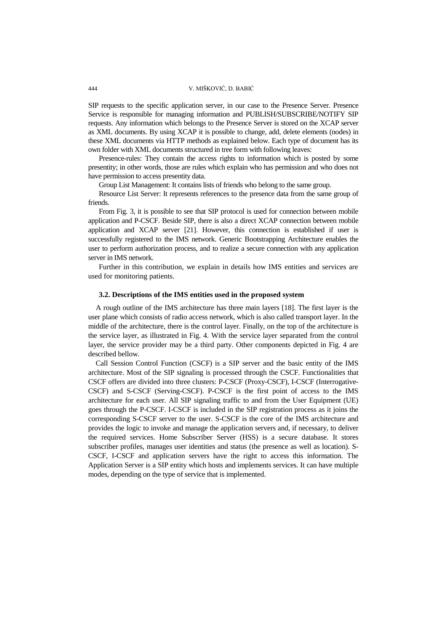SIP requests to the specific application server, in our case to the Presence Server. Presence Service is responsible for managing information and PUBLISH/SUBSCRIBE/NOTIFY SIP requests. Any information which belongs to the Presence Server is stored on the XCAP server as XML documents. By using XCAP it is possible to change, add, delete elements (nodes) in these XML documents via HTTP methods as explained below. Each type of document has its own folder with XML documents structured in tree form with following leaves:

Presence-rules: They contain the access rights to information which is posted by some presentity; in other words, those are rules which explain who has permission and who does not have permission to access presentity data.

Group List Management: It contains lists of friends who belong to the same group.

Resource List Server: It represents references to the presence data from the same group of friends.

From Fig. 3, it is possible to see that SIP protocol is used for connection between mobile application and P-CSCF. Beside SIP, there is also a direct XCAP connection between mobile application and XCAP server [21]. However, this connection is established if user is successfully registered to the IMS network. Generic Bootstrapping Architecture enables the user to perform authorization process, and to realize a secure connection with any application server in IMS network.

Further in this contribution, we explain in details how IMS entities and services are used for monitoring patients.

# **3.2. Descriptions of the IMS entities used in the proposed system**

A rough outline of the IMS architecture has three main layers [\[18\].](#page-17-5) The first layer is the user plane which consists of radio access network, which is also called transport layer. In the middle of the architecture, there is the control layer. Finally, on the top of the architecture is the service layer, as illustrated in Fig. 4. With the service layer separated from the control layer, the service provider may be a third party. Other components depicted in Fig. 4 are described bellow.

Call Session Control Function (CSCF) is a SIP server and the basic entity of the IMS architecture. Most of the SIP signaling is processed through the CSCF. Functionalities that CSCF offers are divided into three clusters: P-CSCF (Proxy-CSCF), I-CSCF (Interrogative-CSCF) and S-CSCF (Serving-CSCF). P-CSCF is the first point of access to the IMS architecture for each user. All SIP signaling traffic to and from the User Equipment (UE) goes through the P-CSCF. I-CSCF is included in the SIP registration process as it joins the corresponding S-CSCF server to the user. S-CSCF is the core of the IMS architecture and provides the logic to invoke and manage the application servers and, if necessary, to deliver the required services. Home Subscriber Server (HSS) is a secure database. It stores subscriber profiles, manages user identities and status (the presence as well as location). S-CSCF, I-CSCF and application servers have the right to access this information. The Application Server is a SIP entity which hosts and implements services. It can have multiple modes, depending on the type of service that is implemented.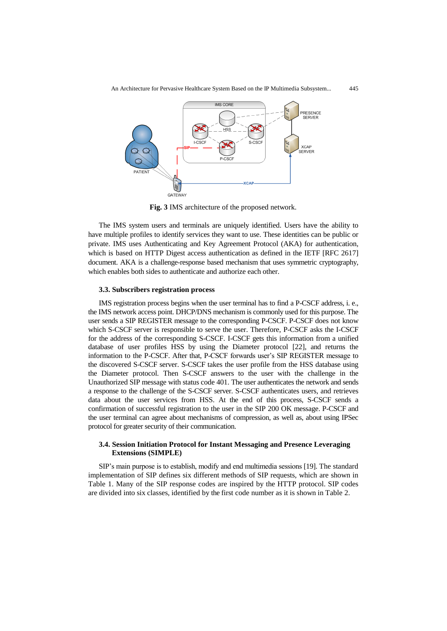

**Fig. 3** IMS architecture of the proposed network.

The IMS system users and terminals are uniquely identified. Users have the ability to have multiple profiles to identify services they want to use. These identities can be public or private. IMS uses Authenticating and Key Agreement Protocol (AKA) for authentication, which is based on HTTP Digest access authentication as defined in the IETF [RFC 2617] document. AKA is a challenge-response based mechanism that uses symmetric cryptography, which enables both sides to authenticate and authorize each other.

### **3.3. Subscribers registration process**

IMS registration process begins when the user terminal has to find a P-CSCF address, i. e., the IMS network access point. DHCP/DNS mechanism is commonly used for this purpose. The user sends a SIP REGISTER message to the corresponding P-CSCF. P-CSCF does not know which S-CSCF server is responsible to serve the user. Therefore, P-CSCF asks the I-CSCF for the address of the corresponding S-CSCF. I-CSCF gets this information from a unified database of user profiles HSS by using the Diameter protocol [\[22\],](#page-17-8) and returns the information to the P-CSCF. After that, P-CSCF forwards user"s SIP REGISTER message to the discovered S-CSCF server. S-CSCF takes the user profile from the HSS database using the Diameter protocol. Then S-CSCF answers to the user with the challenge in the Unauthorized SIP message with status code 401. The user authenticates the network and sends a response to the challenge of the S-CSCF server. S-CSCF authenticates users, and retrieves data about the user services from HSS. At the end of this process, S-CSCF sends a confirmation of successful registration to the user in the SIP 200 OK message. P-CSCF and the user terminal can agree about mechanisms of compression, as well as, about using IPSec protocol for greater security of their communication.

# **3.4. Session Initiation Protocol for Instant Messaging and Presence Leveraging Extensions (SIMPLE)**

SIP"s main purpose is to establish, modify and end multimedia sessions [\[19\].](#page-17-6) The standard implementation of SIP defines six different methods of SIP requests, which are shown in Table 1. Many of the SIP response codes are inspired by the HTTP protocol. SIP codes are divided into six classes, identified by the first code number as it is shown in Table 2.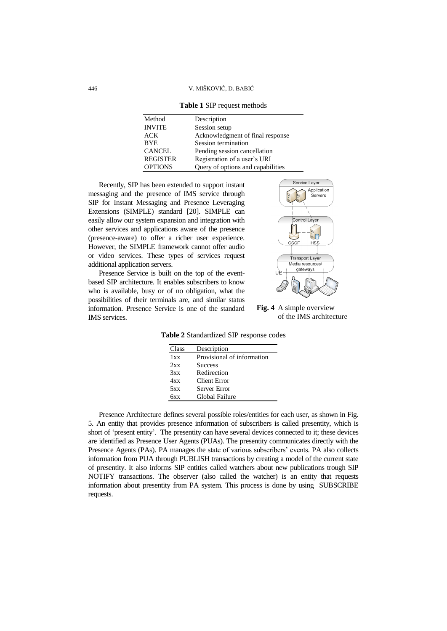446 V. MIŠKOVIĆ, D. BABIĆ

| <b>Table 1 SIP request methods</b> |  |  |  |  |  |  |  |
|------------------------------------|--|--|--|--|--|--|--|
|------------------------------------|--|--|--|--|--|--|--|

| Method          | Description                       |
|-----------------|-----------------------------------|
| <b>INVITE</b>   | Session setup                     |
| ACK             | Acknowledgment of final response  |
| <b>BYE</b>      | Session termination               |
| <b>CANCEL</b>   | Pending session cancellation      |
| <b>REGISTER</b> | Registration of a user's URI      |
| <b>OPTIONS</b>  | Query of options and capabilities |

Recently, SIP has been extended to support instant messaging and the presence of IMS service through SIP for Instant Messaging and Presence Leveraging Extensions (SIMPLE) standard [\[20\].](#page-17-7) SIMPLE can easily allow our system expansion and integration with other services and applications aware of the presence (presence-aware) to offer a richer user experience. However, the SIMPLE framework cannot offer audio or video services. These types of services request additional application servers.

Presence Service is built on the top of the eventbased SIP architecture. It enables subscribers to know who is available, busy or of no obligation, what the possibilities of their terminals are, and similar status information. Presence Service is one of the standard IMS services.



**Fig. 4** A simple overview of the IMS architecture

**Table 2** Standardized SIP response codes

| Class | Description                |
|-------|----------------------------|
| 1xx   | Provisional of information |
| 2xx   | <b>Success</b>             |
| 3xx   | Redirection                |
| 4xx   | Client Error               |
| 5xx   | Server Error               |
| бxх   | Global Failure             |

Presence Architecture defines several possible roles/entities for each user, as shown in Fig. 5. An entity that provides presence information of subscribers is called presentity, which is short of "present entity". The presentity can have several devices connected to it; these devices are identified as Presence User Agents (PUAs). The presentity communicates directly with the Presence Agents (PAs). PA manages the state of various subscribers" events. PA also collects information from PUA through PUBLISH transactions by creating a model of the current state of presentity. It also informs SIP entities called watchers about new publications trough SIP NOTIFY transactions. The observer (also called the watcher) is an entity that requests information about presentity from PA system. This process is done by using SUBSCRIBE requests.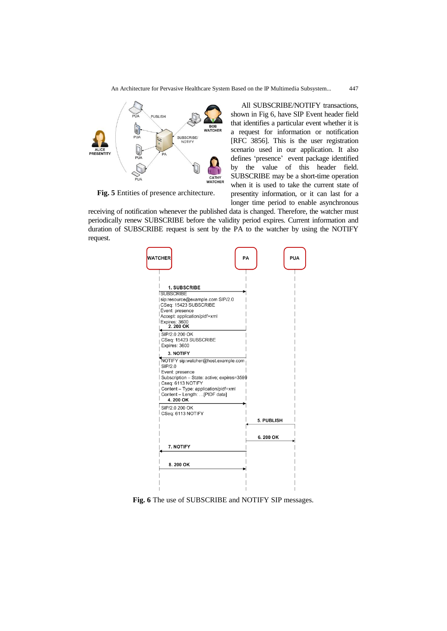

**Fig. 5** Entities of presence architecture.

All SUBSCRIBE/NOTIFY transactions, shown in Fig 6, have SIP Event header field that identifies a particular event whether it is a request for information or notification [RFC 3856]. This is the user registration scenario used in our application. It also defines "presence" event package identified by the value of this header field. SUBSCRIBE may be a short-time operation when it is used to take the current state of presentity information, or it can last for a longer time period to enable asynchronous

receiving of notification whenever the published data is changed. Therefore, the watcher must periodically renew SUBSCRIBE before the validity period expires. Current information and duration of SUBSCRIBE request is sent by the PA to the watcher by using the NOTIFY request.



**Fig. 6** The use of SUBSCRIBE and NOTIFY SIP messages.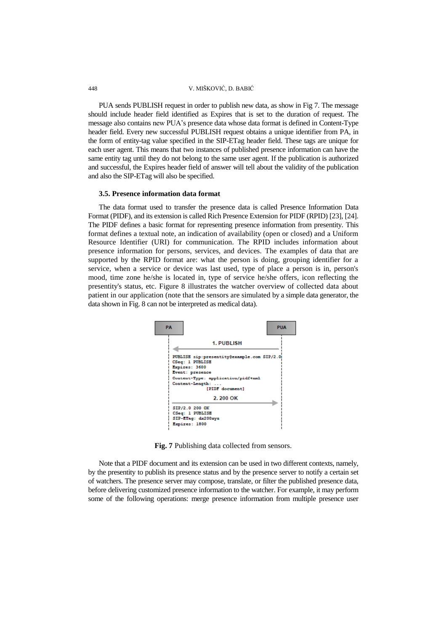PUA sends PUBLISH request in order to publish new data, as show in Fig 7. The message should include header field identified as Expires that is set to the duration of request. The message also contains new PUA"s presence data whose data format is defined in Content-Type header field. Every new successful PUBLISH request obtains a unique identifier from PA, in the form of entity-tag value specified in the SIP-ETag header field. These tags are unique for each user agent. This means that two instances of published presence information can have the same entity tag until they do not belong to the same user agent. If the publication is authorized and successful, the Expires header field of answer will tell about the validity of the publication and also the SIP-ETag will also be specified.

### **3.5. Presence information data format**

The data format used to transfer the presence data is called Presence Information Data Format (PIDF), and its extension is called Rich Presence Extension for PIDF (RPID) [\[23\],](#page-17-9) [\[24\].](#page-17-10) The PIDF defines a basic format for representing presence information from presentity. This format defines a textual note, an indication of availability (open or closed) and a Uniform Resource Identifier (URI) for communication. The RPID includes information about presence information for persons, services, and devices. The examples of data that are supported by the RPID format are: what the person is doing, grouping identifier for a service, when a service or device was last used, type of place a person is in, person's mood, time zone he/she is located in, type of service he/she offers, icon reflecting the presentity's status, etc. Figure 8 illustrates the watcher overview of collected data about patient in our application (note that the sensors are simulated by a simple data generator, the data shown in Fig. 8 can not be interpreted as medical data).



**Fig. 7** Publishing data collected from sensors.

Note that a PIDF document and its extension can be used in two different contexts, namely, by the presentity to publish its presence status and by the presence server to notify a certain set of watchers. The presence server may compose, translate, or filter the published presence data, before delivering customized presence information to the watcher. For example, it may perform some of the following operations: merge presence information from multiple presence user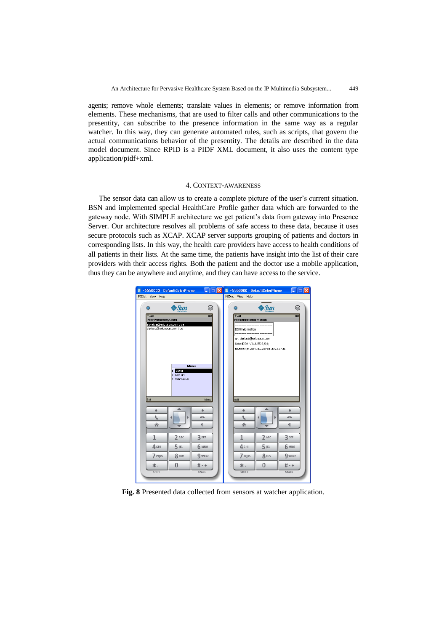agents; remove whole elements; translate values in elements; or remove information from elements. These mechanisms, that are used to filter calls and other communications to the presentity, can subscribe to the presence information in the same way as a regular watcher. In this way, they can generate automated rules, such as scripts, that govern the actual communications behavior of the presentity. The details are described in the data model document. Since RPID is a PIDF XML document, it also uses the content type application/pidf+xml.

# 4. CONTEXT-AWARENESS

The sensor data can allow us to create a complete picture of the user's current situation. BSN and implemented special HealthCare Profile gather data which are forwarded to the gateway node. With SIMPLE architecture we get patient's data from gateway into Presence Server. Our architecture resolves all problems of safe access to these data, because it uses secure protocols such as XCAP. XCAP server supports grouping of patients and doctors in corresponding lists. In this way, the health care providers have access to health conditions of all patients in their lists. At the same time, the patients have insight into the list of their care providers with their access rights. Both the patient and the doctor use a mobile application, thus they can be anywhere and anytime, and they can have access to the service.



**Fig. 8** Presented data collected from sensors at watcher application.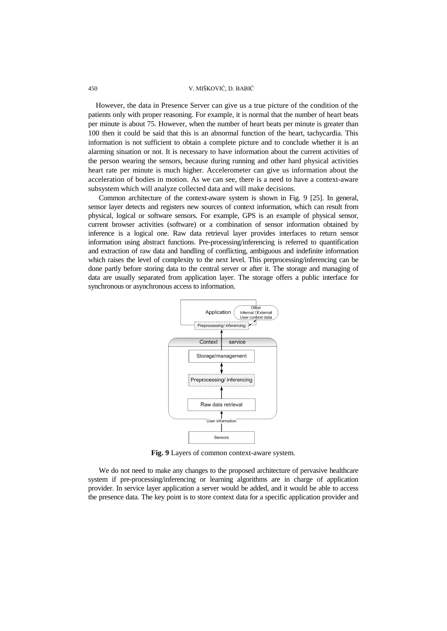However, the data in Presence Server can give us a true picture of the condition of the patients only with proper reasoning. For example, it is normal that the number of heart beats per minute is about 75. However, when the number of heart beats per minute is greater than 100 then it could be said that this is an abnormal function of the heart, tachycardia. This information is not sufficient to obtain a complete picture and to conclude whether it is an alarming situation or not. It is necessary to have information about the current activities of the person wearing the sensors, because during running and other hard physical activities heart rate per minute is much higher. Accelerometer can give us information about the acceleration of bodies in motion. As we can see, there is a need to have a context-aware subsystem which will analyze collected data and will make decisions.

Common architecture of the context-aware system is shown in Fig. 9 [\[25\].](#page-17-11) In general, sensor layer detects and registers new sources of context information, which can result from physical, logical or software sensors. For example, GPS is an example of physical sensor, current browser activities (software) or a combination of sensor information obtained by inference is a logical one. Raw data retrieval layer provides interfaces to return sensor information using abstract functions. Pre-processing/inferencing is referred to quantification and extraction of raw data and handling of conflicting, ambiguous and indefinite information which raises the level of complexity to the next level. This preprocessing/inferencing can be done partly before storing data to the central server or after it. The storage and managing of data are usually separated from application layer. The storage offers a public interface for synchronous or asynchronous access to information.



**Fig. 9** Layers of common context-aware system.

We do not need to make any changes to the proposed architecture of pervasive healthcare system if pre-processing/inferencing or learning algorithms are in charge of application provider. In service layer application a server would be added, and it would be able to access the presence data. The key point is to store context data for a specific application provider and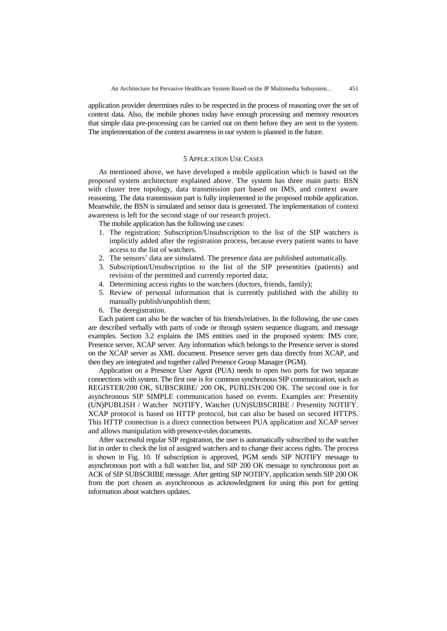application provider determines rules to be respected in the process of reasoning over the set of context data. Also, the mobile phones today have enough processing and memory resources that simple data pre-processing can be carried out on them before they are sent to the system. The implementation of the context awareness in our system is planned in the future.

### 5 APPLICATION USE CASES

As mentioned above, we have developed a mobile application which is based on the proposed system architecture explained above. The system has three main parts: BSN with cluster tree topology, data transmission part based on IMS, and context aware reasoning. The data transmission part is fully implemented in the proposed mobile application. Meanwhile, the BSN is simulated and sensor data is generated. The implementation of context awareness is left for the second stage of our research project.

The mobile application has the following use cases:

- 1. The registration; Subscription/Unsubscription to the list of the SIP watchers is implicitly added after the registration process, because every patient wants to have access to the list of watchers.
- 2. The sensors" data are simulated. The presence data are published automatically.
- 3. Subscription/Unsubscription to the list of the SIP presentities (patients) and revision of the permitted and currently reported data;
- 4. Determining access rights to the watchers (doctors, friends, family);
- 5. Review of personal information that is currently published with the ability to manually publish/unpublish them;
- 6. The deregistration.

Each patient can also be the watcher of his friends/relatives. In the following, the use cases are described verbally with parts of code or through system sequence diagram, and message examples. Section 3.2 explains the IMS entities used in the proposed system: IMS core, Presence server, XCAP server. Any information which belongs to the Presence server is stored on the XCAP server as XML document. Presence server gets data directly from XCAP, and then they are integrated and together called Presence Group Manager (PGM).

Application on a Presence User Agent (PUA) needs to open two ports for two separate connections with system. The first one is for common synchronous SIP communication, such as REGISTER/200 OK, SUBSCRIBE/ 200 OK, PUBLISH/200 OK. The second one is for asynchronous SIP SIMPLE communication based on events. Examples are: Presentity (UN)PUBLISH / Watcher NOTIFY, Watcher (UN)SUBSCRIBE / Presentity NOTIFY. XCAP protocol is based on HTTP protocol, but can also be based on secured HTTPS. This HTTP connection is a direct connection between PUA application and XCAP server and allows manipulation with presence-rules documents.

After successful regular SIP registration, the user is automatically subscribed to the watcher list in order to check the list of assigned watchers and to change their access rights. The process is shown in Fig. 10. If subscription is approved, PGM sends SIP NOTIFY message to asynchronous port with a full watcher list, and SIP 200 OK message to synchronous port as ACK of SIP SUBSCRIBE message. After getting SIP NOTIFY, application sends SIP 200 OK from the port chosen as asynchronous as acknowledgment for using this port for getting information about watchers updates.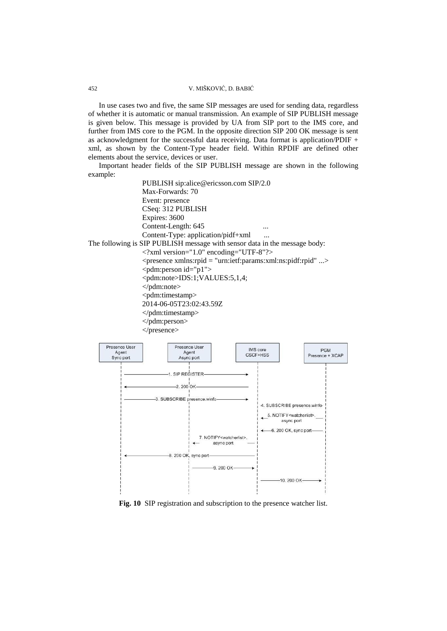In use cases two and five, the same SIP messages are used for sending data, regardless of whether it is automatic or manual transmission. An example of SIP PUBLISH message is given below. This message is provided by UA from SIP port to the IMS core, and further from IMS core to the PGM. In the opposite direction SIP 200 OK message is sent as acknowledgment for the successful data receiving. Data format is application/PDIF + xml, as shown by the Content-Type header field. Within RPDIF are defined other elements about the service, devices or user.

Important header fields of the SIP PUBLISH message are shown in the following example:

PUBLISH sip:alice@ericsson.com SIP/2.0 Max-Forwards: 70 Event: presence CSeq: 312 PUBLISH Expires: 3600 Content-Length: 645 ... Content-Type: application/pidf+xml ... The following is SIP PUBLISH message with sensor data in the message body: <?xml version="1.0" encoding="UTF-8"?> <presence xmlns:rpid = "urn:ietf:params:xml:ns:pidf:rpid" ...> <pdm:person id="p1"> <pdm:note>IDS:1;VALUES:5,1,4; </pdm:note> <pdm:timestamp> 2014-06-05T23:02:43.59Z </pdm:timestamp> </pdm:person> </presence>



**Fig. 10** SIP registration and subscription to the presence watcher list.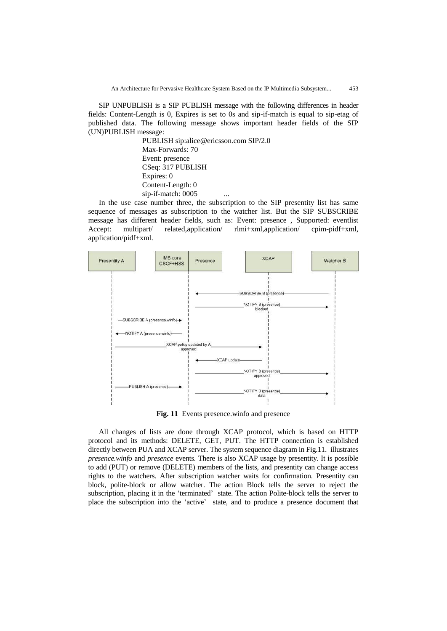SIP UNPUBLISH is a SIP PUBLISH message with the following differences in header fields: Content-Length is 0, Expires is set to 0s and sip-if-match is equal to sip-etag of published data. The following message shows important header fields of the SIP (UN)PUBLISH message:

> PUBLISH sip:alice@ericsson.com SIP/2.0 Max-Forwards: 70 Event: presence CSeq: 317 PUBLISH Expires: 0 Content-Length: 0 sip-if-match: 0005 ...

In the use case number three, the subscription to the SIP presentity list has same sequence of messages as subscription to the watcher list. But the SIP SUBSCRIBE message has different header fields, such as: Event: presence , Supported: eventlist Accept: multipart/ related,application/ rlmi+xml,application/ cpim-pidf+xml, application/pidf+xml.



**Fig. 11** Events presence.winfo and presence

All changes of lists are done through XCAP protocol, which is based on HTTP protocol and its methods: DELETE, GET, PUT. The HTTP connection is established directly between PUA and XCAP server. The system sequence diagram in Fig.11. illustrates *presence.winfo* and *presence* events. There is also XCAP usage by presentity. It is possible to add (PUT) or remove (DELETE) members of the lists, and presentity can change access rights to the watchers. After subscription watcher waits for confirmation. Presentity can block, polite-block or allow watcher. The action Block tells the server to reject the subscription, placing it in the 'terminated' state. The action Polite-block tells the server to place the subscription into the "active" state, and to produce a presence document that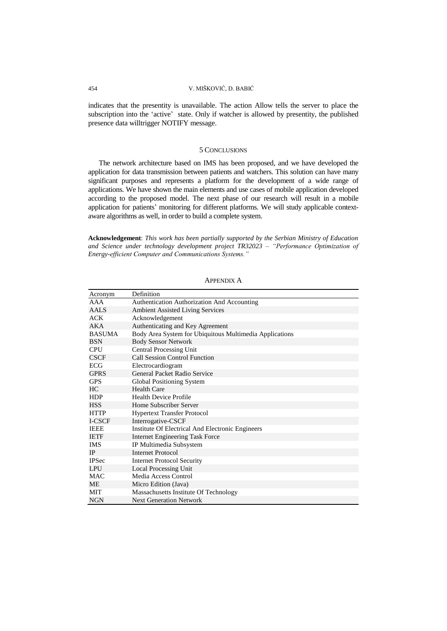indicates that the presentity is unavailable. The action Allow tells the server to place the subscription into the 'active' state. Only if watcher is allowed by presentity, the published presence data willtrigger NOTIFY message.

## 5 CONCLUSIONS

The network architecture based on IMS has been proposed, and we have developed the application for data transmission between patients and watchers. This solution can have many significant purposes and represents a platform for the development of a wide range of applications. We have shown the main elements and use cases of mobile application developed according to the proposed model. The next phase of our research will result in a mobile application for patients' monitoring for different platforms. We will study applicable contextaware algorithms as well, in order to build a complete system.

**Acknowledgement**: *This work has been partially supported by the Serbian Ministry of Education and Science under technology development project TR32023 – "Performance Optimization of Energy-efficient Computer and Communications Systems."*

| Acronym          | Definition                                              |
|------------------|---------------------------------------------------------|
| AAA              | Authentication Authorization And Accounting             |
| AAL <sub>S</sub> | <b>Ambient Assisted Living Services</b>                 |
| <b>ACK</b>       | Acknowledgement                                         |
| <b>AKA</b>       | Authenticating and Key Agreement                        |
| <b>BASUMA</b>    | Body Area System for Ubiquitous Multimedia Applications |
| <b>BSN</b>       | <b>Body Sensor Network</b>                              |
| <b>CPU</b>       | <b>Central Processing Unit</b>                          |
| <b>CSCF</b>      | <b>Call Session Control Function</b>                    |
| ECG              | Electrocardiogram                                       |
| <b>GPRS</b>      | General Packet Radio Service                            |
| <b>GPS</b>       | <b>Global Positioning System</b>                        |
| HC.              | <b>Health Care</b>                                      |
| <b>HDP</b>       | <b>Health Device Profile</b>                            |
| <b>HSS</b>       | Home Subscriber Server                                  |
| <b>HTTP</b>      | <b>Hypertext Transfer Protocol</b>                      |
| I-CSCF           | Interrogative-CSCF                                      |
| <b>IEEE</b>      | Institute Of Electrical And Electronic Engineers        |
| <b>IETF</b>      | <b>Internet Engineering Task Force</b>                  |
| <b>IMS</b>       | IP Multimedia Subsystem                                 |
| <b>IP</b>        | <b>Internet Protocol</b>                                |
| <b>IPSec</b>     | <b>Internet Protocol Security</b>                       |
| <b>LPU</b>       | Local Processing Unit                                   |
| <b>MAC</b>       | Media Access Control                                    |
| МE               | Micro Edition (Java)                                    |
| MIT              | Massachusetts Institute Of Technology                   |
| <b>NGN</b>       | <b>Next Generation Network</b>                          |

APPENDIX A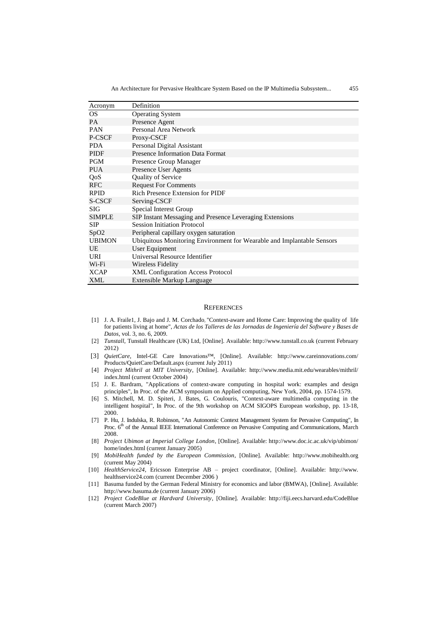| Acronym          | Definition                                                             |
|------------------|------------------------------------------------------------------------|
| <b>OS</b>        | <b>Operating System</b>                                                |
| <b>PA</b>        | Presence Agent                                                         |
| <b>PAN</b>       | Personal Area Network                                                  |
| P-CSCF           | Proxy-CSCF                                                             |
| <b>PDA</b>       | Personal Digital Assistant                                             |
| <b>PIDF</b>      | <b>Presence Information Data Format</b>                                |
| <b>PGM</b>       | Presence Group Manager                                                 |
| <b>PUA</b>       | Presence User Agents                                                   |
| QoS              | <b>Quality of Service</b>                                              |
| <b>RFC</b>       | <b>Request For Comments</b>                                            |
| <b>RPID</b>      | Rich Presence Extension for PIDF                                       |
| S-CSCF           | Serving-CSCF                                                           |
| SIG              | Special Interest Group                                                 |
| <b>SIMPLE</b>    | SIP Instant Messaging and Presence Leveraging Extensions               |
| SIP              | <b>Session Initiation Protocol</b>                                     |
| SpO <sub>2</sub> | Peripheral capillary oxygen saturation                                 |
| <b>UBIMON</b>    | Ubiquitous Monitoring Environment for Wearable and Implantable Sensors |
| UE               | User Equipment                                                         |
| URI              | Universal Resource Identifier                                          |
| Wi-Fi            | Wireless Fidelity                                                      |
| <b>XCAP</b>      | <b>XML Configuration Access Protocol</b>                               |
| <b>XML</b>       | Extensible Markup Language                                             |

#### **REFERENCES**

- <span id="page-16-0"></span>[1] J. A. Fraile1, J. Bajo and J. M. Corchado, "Context-aware and Home Care: Improving the quality of life for patients living at home", *Actas de los Talleres de las Jornadas de Ingeniería del Software y Bases de Datos*, vol. 3, no. 6, 2009.
- <span id="page-16-10"></span>[2] *Tunstall*, Tunstall Healthcare (UK) Ltd, [Online]. Available: http://www.tunstall.co.uk (current February 2012)
- <span id="page-16-11"></span>[3] *QuietCare*, Intel-GE Care Innovations™, [Online]. Available: http://www.careinnovations.com/ Products/QuietCare/Default.aspx (current July 2011)
- <span id="page-16-1"></span>[4] *Project Mithril at MIT University*, [Online]. Available: http://www.media.mit.edu/wearables/mithril/ index.html (current October 2004)
- <span id="page-16-2"></span>[5] J. E. Bardram, "Applications of context-aware computing in hospital work: examples and design principles", In Proc. of the ACM symposium on Applied computing, New York, 2004, pp. 1574-1579.
- <span id="page-16-3"></span>[6] S. [Mitchell,](http://dl.acm.org/author_page.cfm?id=81100359819&coll=DL&dl=ACM&trk=0&cfid=176339321&cftoken=43665439) M. [D. Spiteri,](http://dl.acm.org/author_page.cfm?id=81100199398&coll=DL&dl=ACM&trk=0&cfid=176339321&cftoken=43665439) J. [Bates,](http://dl.acm.org/author_page.cfm?id=81406598996&coll=DL&dl=ACM&trk=0&cfid=176339321&cftoken=43665439) [G. Coulouris,](http://dl.acm.org/author_page.cfm?id=81100529795&coll=DL&dl=ACM&trk=0&cfid=176339321&cftoken=43665439) "Context-aware multimedia computing in the intelligent hospital", In Proc. of the 9th workshop on ACM SIGOPS European workshop*,* pp. 13-18, 2000.
- <span id="page-16-4"></span>[7] P. Hu, J. Indulska, R. Robinson, "An Autonomic Context Management System for Pervasive Computing", In Proc. 6<sup>th</sup> of the Annual IEEE International Conference on Pervasive Computing and Communications, March 2008.
- <span id="page-16-5"></span>[8] *Project Ubimon at Imperial College London*, [Online]. Available: http://www.doc.ic.ac.uk/vip/ubimon/ home/index.html (current January 2005)
- <span id="page-16-6"></span>[9] *MobiHealth funded by the European Commission*, [Online]. Available: http://www.mobihealth.org (current May 2004)
- <span id="page-16-7"></span>[10] *HealthService24*, Ericsson Enterprise AB – project coordinator, [Online]. Available: http://www. healthservice24.com (current December 2006 )
- <span id="page-16-8"></span>[11] Basuma funded by the German Federal Ministry for economics and labor (BMWA), [Online]. Available: http://www.basuma.de (current January 2006)
- <span id="page-16-9"></span>[12] *Project CodeBlue at Hardvard University*, [Online]. Available: http://fiji.eecs.harvard.edu/CodeBlue (current March 2007)